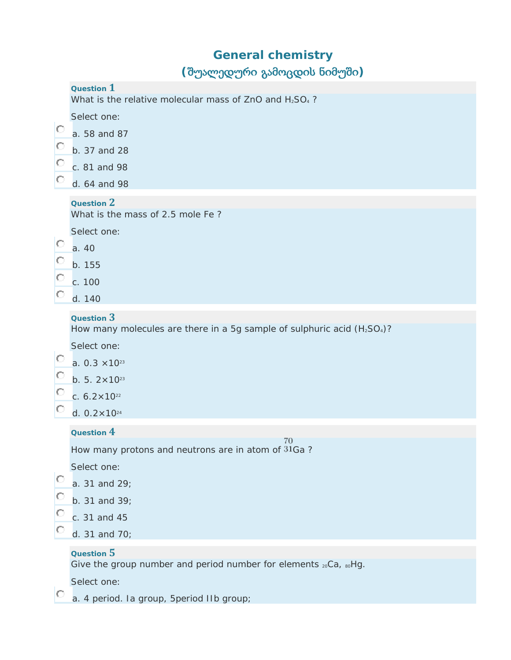# **General chemistry (**შუალედური გამოცდის ნიმუში**)**

|                  | $\sim$                                                                                           |
|------------------|--------------------------------------------------------------------------------------------------|
|                  | Question $1$<br>What is the relative molecular mass of ZnO and H <sub>2</sub> SO <sub>4</sub> ?  |
|                  | Select one:                                                                                      |
| Ю<br>O<br>O<br>O | a. 58 and 87                                                                                     |
|                  | b. 37 and 28                                                                                     |
|                  | c. 81 and 98                                                                                     |
|                  | d. 64 and 98                                                                                     |
|                  | Question 2                                                                                       |
| Ю<br>O<br>O<br>O | What is the mass of 2.5 mole Fe?                                                                 |
|                  | Select one:                                                                                      |
|                  | a. 40                                                                                            |
|                  | b. 155                                                                                           |
|                  | c. 100                                                                                           |
|                  | d. 140                                                                                           |
|                  | Question 3                                                                                       |
|                  | How many molecules are there in a 5g sample of sulphuric acid (H <sub>2</sub> SO <sub>4</sub> )? |
| Ю<br>O<br>O<br>O | Select one:                                                                                      |
|                  | a. $0.3 \times 10^{23}$                                                                          |
|                  | b. 5. $2 \times 10^{23}$                                                                         |
|                  | c. $6.2 \times 10^{22}$                                                                          |
|                  | d. $0.2 \times 10^{24}$                                                                          |
|                  | Question 4<br>70                                                                                 |
| O                | How many protons and neutrons are in atom of 31Ga?                                               |
|                  | Select one:                                                                                      |
|                  | a. 31 and 29;                                                                                    |
| $\circ$          | b. 31 and 39;                                                                                    |
|                  | c. 31 and 45                                                                                     |
| O                | d. 31 and 70;                                                                                    |
|                  | Question 5                                                                                       |
|                  | Give the group number and period number for elements 20Ca, 80Hg.                                 |
|                  | Select one:                                                                                      |

**a.** 4 period. Ia group, 5 period IIb group;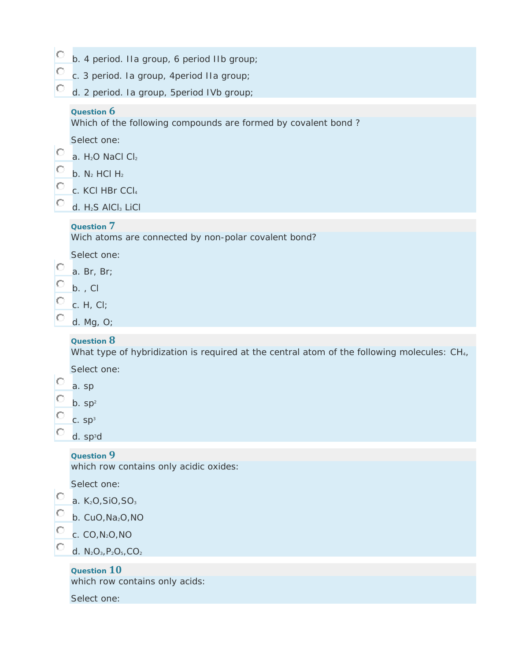| b. 4 period. IIa group, 6 period IIb group; |  |  |  |
|---------------------------------------------|--|--|--|
|---------------------------------------------|--|--|--|

| c. 3 period. Ia group, 4 period IIa group; |  |
|--------------------------------------------|--|
|--------------------------------------------|--|

 $\circ$ d. 2 period. Ia group, 5period IVb group;

#### **Question 6**

 $\frac{1}{2}$ 

О

O

O

Which of the following compounds are formed by covalent bond ?

 $\circ$ a. H<sub>2</sub>O NaCl Cl<sub>2</sub>

- О b.  $N_2$  HCl  $H_2$
- O c. KCI HBr CCI4

d. H<sub>2</sub>S AICI<sub>3</sub> LiCI

#### **Question 7**

Wich atoms are connected by non-polar covalent bond?

Select one:

 $\circ$ . a. Br, Br;

 $\circ$ b. , Cl

O c. H, Cl;

d. Mg, O;

### **Question 8**

What type of hybridization is required at the central atom of the following molecules: CH<sub>4</sub>,

Select one:

|    | a. sp                |
|----|----------------------|
| C. | $b.$ sp <sup>2</sup> |
| C  | C. Sp <sup>3</sup>   |

d. sp<sup>3</sup>d

### **Question 9**

which row contains only acidic oxides:

Select one:



**Question 10**

which row contains only acids:

Select one: